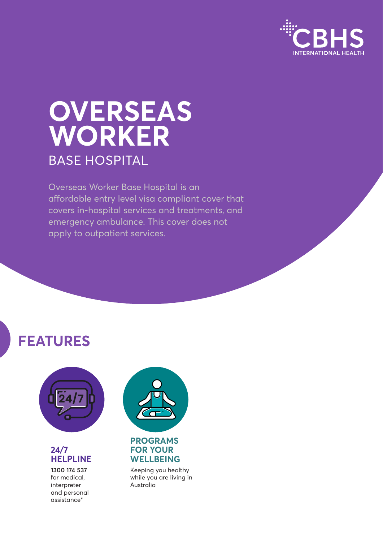

# **OVERSEAS WORKER** BASE HOSPITAL

Overseas Worker Base Hospital is an affordable entry level visa compliant cover that covers in-hospital services and treatments, and emergency ambulance. This cover does not apply to outpatient services.

# **FEATURES**



#### **24/7 HELPLINE**

**1300 174 537** for medical, interpreter and personal assistance\*



### **FOR YOUR WELLBEING**

Keeping you healthy while you are living in Australia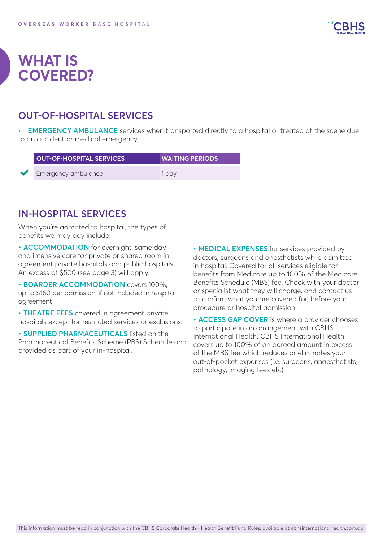

### **WHAT IS COVERED?**

### **OUT-OF-HOSPITAL SERVICES**

• **EMERGENCY AMBULANCE** services when transported directly to a hospital or treated at the scene due to an accident or medical emergency.

| <b>OUT-OF-HOSPITAL SERVICES</b> | <b>WAITING PERIODS</b> |
|---------------------------------|------------------------|
| Emergency ambulance             | 1 dav                  |

### **IN-HOSPITAL SERVICES**

When you're admitted to hospital, the types of benefits we may pay include:

**• ACCOMMODATION** for overnight, same day and intensive care for private or shared room in agreement private hospitals and public hospitals. An excess of \$500 (see page 3) will apply.

**• BOARDER ACCOMMODATION** covers 100%, up to \$160 per admission, if not included in hospital agreement

**• THEATRE FEES** covered in agreement private hospitals except for restricted services or exclusions.

**• SUPPLIED PHARMACEUTICALS** listed on the Pharmaceutical Benefits Scheme (PBS) Schedule and provided as part of your in-hospital.

**• MEDICAL EXPENSES** for services provided by doctors, surgeons and anesthetists while admitted in hospital. Covered for all services eligible for benefits from Medicare up to 100% of the Medicare Benefits Schedule (MBS) fee. Check with your doctor or specialist what they will charge, and contact us to confirm what you are covered for, before your procedure or hospital admission.

**• ACCESS GAP COVER** is where a provider chooses to participate in an arrangement with CBHS International Health. CBHS International Health covers up to 100% of an agreed amount in excess of the MBS fee which reduces or eliminates your out-of-pocket expenses (i.e. surgeons, anaesthetists, pathology, imaging fees etc).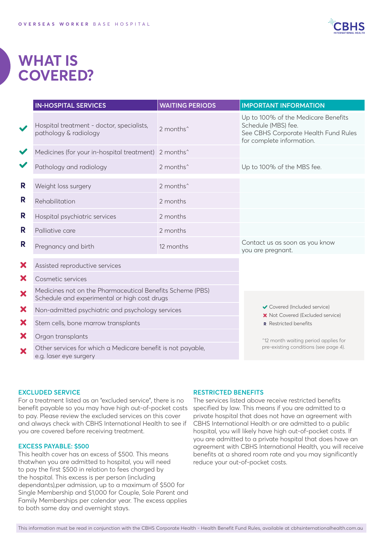

### **WHAT IS COVERED?**

|                      | <b>IN-HOSPITAL SERVICES</b>                                                                               | <b>WAITING PERIODS</b>                                                        | <b>IMPORTANT INFORMATION</b>                                                                                                    |
|----------------------|-----------------------------------------------------------------------------------------------------------|-------------------------------------------------------------------------------|---------------------------------------------------------------------------------------------------------------------------------|
| $\blacktriangledown$ | Hospital treatment - doctor, specialists,<br>pathology & radiology                                        | 2 months <sup>^</sup>                                                         | Up to 100% of the Medicare Benefits<br>Schedule (MBS) fee.<br>See CBHS Corporate Health Fund Rules<br>for complete information. |
| $\checkmark$         | Medicines (for your in-hospital treatment) 2 months^                                                      |                                                                               |                                                                                                                                 |
|                      | Pathology and radiology                                                                                   | 2 months <sup>^</sup>                                                         | Up to 100% of the MBS fee.                                                                                                      |
| R                    | Weight loss surgery                                                                                       | 2 months <sup>^</sup>                                                         |                                                                                                                                 |
| R                    | Rehabilitation                                                                                            | 2 months                                                                      |                                                                                                                                 |
| R                    | Hospital psychiatric services                                                                             | 2 months                                                                      |                                                                                                                                 |
| R                    | Palliative care                                                                                           | 2 months                                                                      |                                                                                                                                 |
| R                    | Pregnancy and birth                                                                                       | 12 months                                                                     | Contact us as soon as you know<br>you are pregnant.                                                                             |
| X                    | Assisted reproductive services                                                                            |                                                                               |                                                                                                                                 |
| X                    | Cosmetic services                                                                                         |                                                                               |                                                                                                                                 |
| ×                    | Medicines not on the Pharmaceutical Benefits Scheme (PBS)<br>Schedule and experimental or high cost drugs |                                                                               |                                                                                                                                 |
| X                    | Non-admitted psychiatric and psychology services                                                          |                                                                               | Covered (Included service)<br>X Not Covered (Excluded service)                                                                  |
| X                    | Stem cells, bone marrow transplants                                                                       |                                                                               | R Restricted benefits                                                                                                           |
| X                    | Organ transplants                                                                                         | ^12 month waiting period applies for<br>pre-existing conditions (see page 4). |                                                                                                                                 |
| X                    | Other services for which a Medicare benefit is not payable,<br>e.g. laser eye surgery                     |                                                                               |                                                                                                                                 |

#### **EXCLUDED SERVICE**

For a treatment listed as an "excluded service", there is no benefit payable so you may have high out-of-pocket costs to pay. Please review the excluded services on this cover and always check with CBHS International Health to see if you are covered before receiving treatment.

#### **EXCESS PAYABLE: \$500**

This health cover has an excess of \$500. This means thatwhen you are admitted to hospital, you will need to pay the first \$500 in relation to fees charged by the hospital. This excess is per person (including dependants),per admission, up to a maximum of \$500 for Single Membership and \$1,000 for Couple, Sole Parent and Family Memberships per calendar year. The excess applies to both same day and overnight stays.

#### **RESTRICTED BENEFITS**

The services listed above receive restricted benefits specified by law. This means if you are admitted to a private hospital that does not have an agreement with CBHS International Health or are admitted to a public hospital, you will likely have high out-of-pocket costs. If you are admitted to a private hospital that does have an agreement with CBHS International Health, you will receive benefits at a shared room rate and you may significantly reduce your out-of-pocket costs.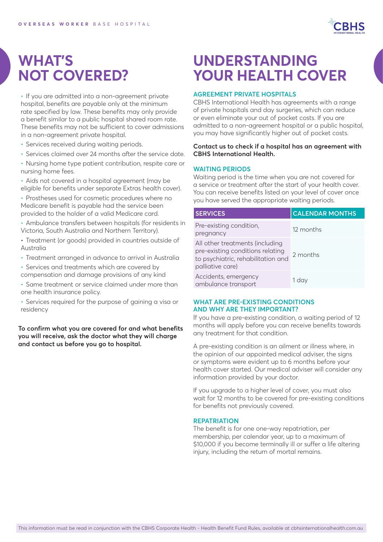

### **WHAT'S NOT COVERED?**

• If you are admitted into a non-agreement private hospital, benefits are payable only at the minimum rate specified by law. These benefits may only provide a benefit similar to a public hospital shared room rate. These benefits may not be sufficient to cover admissions in a non-agreement private hospital.

- Services received during waiting periods.
- Services claimed over 24 months after the service date.
- Nursing home type patient contribution, respite care or nursing home fees.
- Aids not covered in a hospital agreement (may be eligible for benefits under separate Extras health cover).
- Prostheses used for cosmetic procedures where no Medicare benefit is payable had the service been provided to the holder of a valid Medicare card.
- Ambulance transfers between hospitals (for residents in Victoria, South Australia and Northern Territory).
- Treatment (or goods) provided in countries outside of Australia
- Treatment arranged in advance to arrival in Australia
- Services and treatments which are covered by compensation and damage provisions of any kind
- Same treatment or service claimed under more than one health insurance policy.
- Services required for the purpose of gaining a visa or residency

**To confirm what you are covered for and what benefits you will receive, ask the doctor what they will charge and contact us before you go to hospital.**

### **UNDERSTANDING YOUR HEALTH COVER**

#### **AGREEMENT PRIVATE HOSPITALS**

CBHS International Health has agreements with a range of private hospitals and day surgeries, which can reduce or even eliminate your out of pocket costs. If you are admitted to a non-agreement hospital or a public hospital, you may have significantly higher out of pocket costs.

#### **Contact us to check if a hospital has an agreement with CBHS International Health.**

#### **WAITING PERIODS**

Waiting period is the time when you are not covered for a service or treatment after the start of your health cover. You can receive benefits listed on your level of cover once you have served the appropriate waiting periods.

| <b>SERVICES</b>                                                                                                               | <b>CALENDAR MONTHS</b> |
|-------------------------------------------------------------------------------------------------------------------------------|------------------------|
| Pre-existing condition,<br>pregnancy                                                                                          | 12 months              |
| All other treatments (including<br>pre-existing conditions relating<br>to psychiatric, rehabilitation and<br>palliative care) | 2 months               |
| Accidents, emergency<br>ambulance transport                                                                                   | 1 day                  |

#### **WHAT ARE PRE-EXISTING CONDITIONS AND WHY ARE THEY IMPORTANT?**

If you have a pre-existing condition, a waiting period of 12 months will apply before you can receive benefits towards any treatment for that condition.

A pre-existing condition is an ailment or illness where, in the opinion of our appointed medical adviser, the signs or symptoms were evident up to 6 months before your health cover started. Our medical adviser will consider any information provided by your doctor.

If you upgrade to a higher level of cover, you must also wait for 12 months to be covered for pre-existing conditions for benefits not previously covered.

#### **REPATRIATION**

The benefit is for one one-way repatriation, per membership, per calendar year, up to a maximum of \$10,000 if you become terminally ill or suffer a life altering injury, including the return of mortal remains.